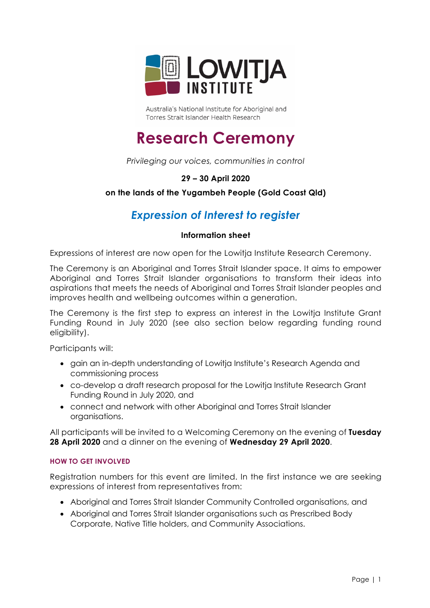

Australia's National Institute for Aboriginal and Torres Strait Islander Health Research

# **Research Ceremony**

*Privileging our voices, communities in control*

# **29 – 30 April 2020**

# **on the lands of the Yugambeh People (Gold Coast Qld)**

# *Expression of Interest to register*

## **Information sheet**

Expressions of interest are now open for the Lowitja Institute Research Ceremony.

The Ceremony is an Aboriginal and Torres Strait Islander space. It aims to empower Aboriginal and Torres Strait Islander organisations to transform their ideas into aspirations that meets the needs of Aboriginal and Torres Strait Islander peoples and improves health and wellbeing outcomes within a generation.

The Ceremony is the first step to express an interest in the Lowitja Institute Grant Funding Round in July 2020 (see also section below regarding funding round eligibility).

Participants will:

- gain an in-depth understanding of Lowitja Institute's Research Agenda and commissioning process
- co-develop a draft research proposal for the Lowitja Institute Research Grant Funding Round in July 2020, and
- connect and network with other Aboriginal and Torres Strait Islander organisations.

All participants will be invited to a Welcoming Ceremony on the evening of **Tuesday 28 April 2020** and a dinner on the evening of **Wednesday 29 April 2020**.

#### **HOW TO GET INVOLVED**

Registration numbers for this event are limited. In the first instance we are seeking expressions of interest from representatives from:

- Aboriginal and Torres Strait Islander Community Controlled organisations, and
- Aboriginal and Torres Strait Islander organisations such as Prescribed Body Corporate, Native Title holders, and Community Associations.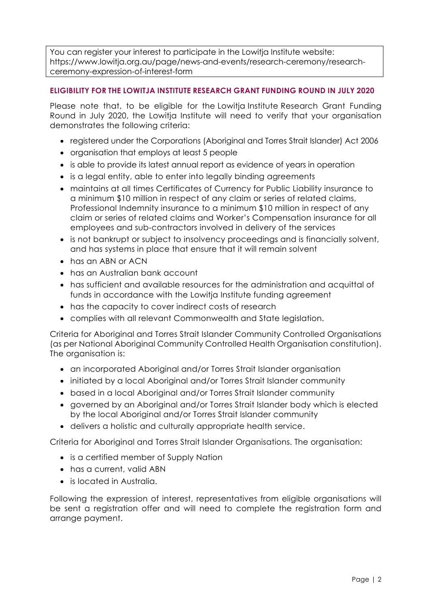You can register your interest to participate in the Lowitja Institute website: https://www.lowitja.org.au/page/news-and-events/research-ceremony/researchceremony-expression-of-interest-form

## **ELIGIBILITY FOR THE LOWITJA INSTITUTE RESEARCH GRANT FUNDING ROUND IN JULY 2020**

Please note that, to be eligible for the Lowitja Institute Research Grant Funding Round in July 2020, the Lowitja Institute will need to verify that your organisation demonstrates the following criteria:

- registered under the Corporations (Aboriginal and Torres Strait Islander) Act 2006
- organisation that employs at least 5 people
- is able to provide its latest annual report as evidence of years in operation
- is a legal entity, able to enter into legally binding agreements
- maintains at all times Certificates of Currency for Public Liability insurance to a minimum \$10 million in respect of any claim or series of related claims, Professional Indemnity insurance to a minimum \$10 million in respect of any claim or series of related claims and Worker's Compensation insurance for all employees and sub-contractors involved in delivery of the services
- is not bankrupt or subject to insolvency proceedings and is financially solvent, and has systems in place that ensure that it will remain solvent
- has an ABN or ACN
- has an Australian bank account
- has sufficient and available resources for the administration and acquittal of funds in accordance with the Lowitja Institute funding agreement
- has the capacity to cover indirect costs of research
- complies with all relevant Commonwealth and State legislation.

Criteria for Aboriginal and Torres Strait Islander Community Controlled Organisations (as per National Aboriginal Community Controlled Health Organisation constitution). The organisation is:

- an incorporated Aboriginal and/or Torres Strait Islander organisation
- initiated by a local Aboriginal and/or Torres Strait Islander community
- based in a local Aboriginal and/or Torres Strait Islander community
- governed by an Aboriginal and/or Torres Strait Islander body which is elected by the local Aboriginal and/or Torres Strait Islander community
- delivers a holistic and culturally appropriate health service.

Criteria for Aboriginal and Torres Strait Islander Organisations. The organisation:

- is a certified member of Supply Nation
- has a current, valid ABN
- is located in Australia.

Following the expression of interest, representatives from eligible organisations will be sent a registration offer and will need to complete the registration form and arrange payment.